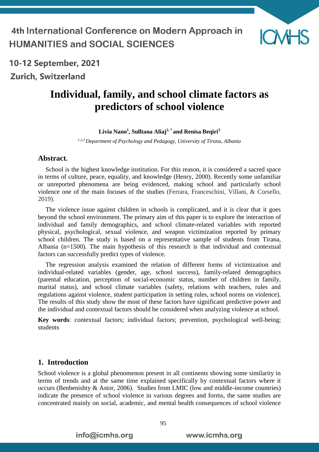

10-12 September, 2021 **Zurich, Switzerland** 

# **Individual, family, and school climate factors as predictors of school violence**

#### **Livia Nano<sup>1</sup> , Sulltana Aliaj2, \* and Renisa Beqiri<sup>3</sup>**

*1,2,3 Department of Psychology and Pedagogy, University of Tirana, Albania*

#### **Abstract.**

School is the highest knowledge institution. For this reason, it is considered a sacred space in terms of culture, peace, equality, and knowledge (Henry, 2000). Recently some unfamiliar or unreported phenomena are being evidenced, making school and particularly school violence one of the main focuses of the studies (Ferrara, Franceschini, Villani, & Corsello, 2019).

The violence issue against children in schools is complicated, and it is clear that it goes beyond the school environment. The primary aim of this paper is to explore the interaction of individual and family demographics, and school climate-related variables with reported physical, psychological, sexual violence, and weapon victimization reported by primary school children. The study is based on a representative sample of students from Tirana, Albania (n=1500). The main hypothesis of this research is that individual and contextual factors can successfully predict types of violence.

The regression analysis examined the relation of different forms of victimization and individual-related variables (gender, age, school success), family-related demographics (parental education, perception of social-economic status, number of children in family, marital status), and school climate variables (safety, relations with teachers, rules and regulations against violence, student participation in setting rules, school norms on violence). The results of this study show the most of these factors have significant predictive power and the individual and contextual factors should be considered when analyzing violence at school.

**Key words**: contextual factors; individual factors; prevention, psychological well-being; students

#### **1. Introduction**

School violence is a global phenomenon present in all continents showing some similarity in terms of trends and at the same time explained specifically by contextual factors where it occurs (Benbenishty & Astor, 2006). Studies from LMIC (low and middle-income countries) indicate the presence of school violence in various degrees and forms, the same studies are concentrated mainly on social, academic, and mental health consequences of school violence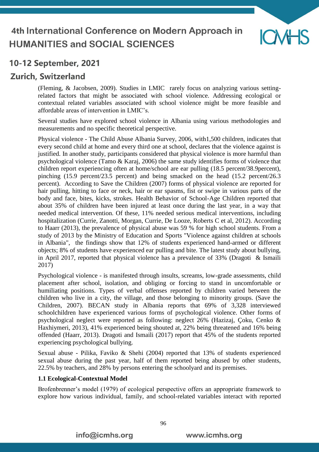

## **Zurich, Switzerland**

(Fleming, & Jacobsen, 2009). Studies in LMIC rarely focus on analyzing various settingrelated factors that might be associated with school violence. Addressing ecological or contextual related variables associated with school violence might be more feasible and affordable areas of intervention in LMIC's.

Several studies have explored school violence in Albania using various methodologies and measurements and no specific theoretical perspective.

Physical violence - The Child Abuse Albania Survey, 2006, with1,500 children, indicates that every second child at home and every third one at school, declares that the violence against is justified. In another study, participants considered that physical violence is more harmful than psychological violence (Tamo & Karaj, 2006) the same study identifies forms of violence that children report experiencing often at home/school are ear pulling (18.5 percent/38.9percent), pinching (15.9 percent/23.5 percent) and being smacked on the head (15.2 percent/26.3 percent). According to Save the Children (2007) forms of physical violence are reported for hair pulling, hitting to face or neck, hair or ear spasms, fist or swipe in various parts of the body and face, bites, kicks, strokes. Health Behavior of School-Age Children reported that about 35% of children have been injured at least once during the last year, in a way that needed medical intervention. Of these, 11% needed serious medical interventions, including hospitalization (Currie, Zanotti, Morgan, Currie, De Looze, Roberts C et al, 2012). According to Haarr (2013), the prevalence of physical abuse was 59 % for high school students. From a study of 2013 by the Ministry of Education and Sports "Violence against children at schools in Albania", the findings show that 12% of students experienced hand-armed or different objects; 8% of students have experienced ear pulling and bite. The latest study about bullying, in April 2017, reported that physical violence has a prevalence of 33% (Dragoti & Ismaili 2017)

Psychological violence - is manifested through insults, screams, low-grade assessments, child placement after school, isolation, and obliging or forcing to stand in uncomfortable or humiliating positions. Types of verbal offenses reported by children varied between the children who live in a city, the village, and those belonging to minority groups. (Save the Children, 2007). BECAN study in Albania reports that 69% of 3,328 interviewed schoolchildren have experienced various forms of psychological violence. Other forms of psychological neglect were reported as following: neglect 26% (Hazizaj, Çoku, Cenko & Haxhiymeri, 2013), 41% experienced being shouted at, 22% being threatened and 16% being offended (Haarr, 2013). Dragoti and Ismaili (2017) report that 45% of the students reported experiencing psychological bullying.

Sexual abuse - Pilika, Faviko & Shehi (2004) reported that 13% of students experienced sexual abuse during the past year, half of them reported being abused by other students, 22.5% by teachers, and 28% by persons entering the schoolyard and its premises.

#### **1.1 Ecological-Contextual Model**

Brofenbrenner's model (1979) of ecological perspective offers an appropriate framework to explore how various individual, family, and school-related variables interact with reported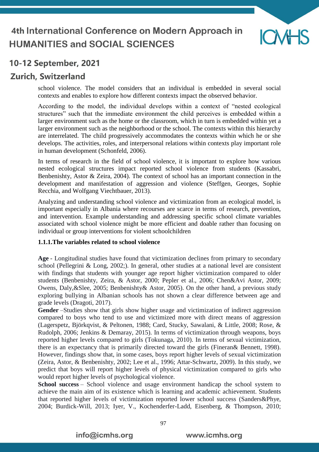

## **Zurich, Switzerland**

school violence. The model considers that an individual is embedded in several social contexts and enables to explore how different contexts impact the observed behavior.

According to the model, the individual develops within a context of "nested ecological structures" such that the immediate environment the child perceives is embedded within a larger environment such as the home or the classroom, which in turn is embedded within yet a larger environment such as the neighborhood or the school. The contexts within this hierarchy are interrelated. The child progressively accommodates the contexts within which he or she develops. The activities, roles, and interpersonal relations within contexts play important role in human development (Schonfeld, 2006).

In terms of research in the field of school violence, it is important to explore how various nested ecological structures impact reported school violence from students (Kassabri, Benbenishty, Astor & Zeira, 2004). The context of school has an important connection in the development and manifestation of aggression and violence (Steffgen, Georges, Sophie Recchia, and Wolfgang Viechtbauer, 2013).

Analyzing and understanding school violence and victimization from an ecological model, is important especially in Albania where recourses are scarce in terms of research, prevention, and intervention. Example understanding and addressing specific school climate variables associated with school violence might be more efficient and doable rather than focusing on individual or group interventions for violent schoolchildren

#### **1.1.1.The variables related to school violence**

**Age** - Longitudinal studies have found that victimization declines from primary to secondary school (Pellegrini & Long, 2002;). In general, other studies at a national level are consistent with findings that students with younger age report higher victimization compared to older students (Benbenishty, Zeira, & Astor, 2000; Pepler et al., 2006; Chen&Avi Astor, 2009; Owens, Daly,&Slee, 2005; Benbenishty& Astor, 2005). On the other hand, a previous study exploring bullying in Albanian schools has not shown a clear difference between age and grade levels (Dragoti, 2017).

**Gender** –Studies show that girls show higher usage and victimization of indirect aggression compared to boys who tend to use and victimized more with direct means of aggression (Lagerspetz, Björkqvist, & Peltonen, 1988; Card, Stucky, Sawalani, & Little, 2008; Rose, & Rudolph, 2006; Jenkins & Demaray, 2015). In terms of victimization through weapons, boys reported higher levels compared to girls (Tokunaga, 2010). In terms of sexual victimization, there is an expectancy that is primarily directed toward the girls (Fineran& Bennett, 1998). However, findings show that, in some cases, boys report higher levels of sexual victimization (Zeira, Astor, & Benbenishty, 2002; Lee et al., 1996; Attar-Schwartz, 2009). In this study, we predict that boys will report higher levels of physical victimization compared to girls who would report higher levels of psychological violence.

**School success** – School violence and usage environment handicap the school system to achieve the main aim of its existence which is learning and academic achievement. Students that reported higher levels of victimization reported lower school success (Sanders&Phye, 2004; Burdick-Will, 2013; Iyer, V., Kochenderfer-Ladd, Eisenberg, & Thompson, 2010;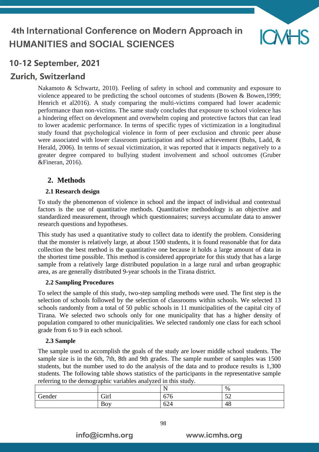

## **Zurich, Switzerland**

Nakamoto & Schwartz, 2010). Feeling of safety in school and community and exposure to violence appeared to be predicting the school outcomes of students (Bowen & Bowen,1999; Henrich et al2016). A study comparing the multi-victims compared had lower academic performance than non-victims. The same study concludes that exposure to school violence has a hindering effect on development and overwhelm coping and protective factors that can lead to lower academic performance. In terms of specific types of victimization in a longitudinal study found that psychological violence in form of peer exclusion and chronic peer abuse were associated with lower classroom participation and school achievement (Buhs, Ladd, & Herald, 2006). In terms of sexual victimization, it was reported that it impacts negatively to a greater degree compared to bullying student involvement and school outcomes (Gruber &Fineran, 2016).

#### **2. Methods**

#### **2.1 Research design**

To study the phenomenon of violence in school and the impact of individual and contextual factors is the use of quantitative methods. Quantitative methodology is an objective and standardized measurement, through which questionnaires; surveys accumulate data to answer research questions and hypotheses.

This study has used a quantitative study to collect data to identify the problem. Considering that the monster is relatively large, at about 1500 students, it is found reasonable that for data collection the best method is the quantitative one because it holds a large amount of data in the shortest time possible. This method is considered appropriate for this study that has a large sample from a relatively large distributed population in a large rural and urban geographic area, as are generally distributed 9-year schools in the Tirana district.

#### **2.2 Sampling Procedures**

To select the sample of this study, two-step sampling methods were used. The first step is the selection of schools followed by the selection of classrooms within schools. We selected 13 schools randomly from a total of 50 public schools in 11 municipalities of the capital city of Tirana. We selected two schools only for one municipality that has a higher density of population compared to other municipalities. We selected randomly one class for each school grade from 6 to 9 in each school.

#### **2.3 Sample**

The sample used to accomplish the goals of the study are lower middle school students. The sample size is in the 6th, 7th, 8th and 9th grades. The sample number of samples was 1500 students, but the number used to do the analysis of the data and to produce results is 1,300 students. The following table shows statistics of the participants in the representative sample referring to the demographic variables analyzed in this study.

| -<br>$\tilde{\phantom{a}}$ |      |                          |                           |
|----------------------------|------|--------------------------|---------------------------|
|                            |      | $\overline{\phantom{a}}$ | $\%$                      |
| Gender                     | Girl | $\sim$<br>070            | $\sim$<br>$\cup$ $\sqcup$ |
|                            | Boy  | -^<br>024                | $\sqrt{2}$<br>40          |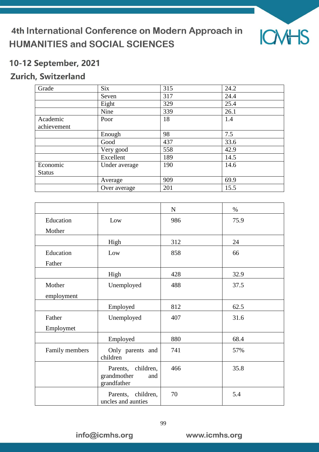

## 10-12 September, 2021

## Zurich, Switzerland

| Grade         | <b>Six</b>    | 315 | 24.2 |
|---------------|---------------|-----|------|
|               | Seven         | 317 | 24.4 |
|               | Eight         | 329 | 25.4 |
|               | Nine          | 339 | 26.1 |
| Academic      | Poor          | 18  | 1.4  |
| achievement   |               |     |      |
|               | Enough        | 98  | 7.5  |
|               | Good          | 437 | 33.6 |
|               | Very good     | 558 | 42.9 |
|               | Excellent     | 189 | 14.5 |
| Economic      | Under average | 190 | 14.6 |
| <b>Status</b> |               |     |      |
|               | Average       | 909 | 69.9 |
|               | Over average  | 201 | 15.5 |

|                      |                                                         | $\mathbf N$ | $\%$ |
|----------------------|---------------------------------------------------------|-------------|------|
| Education<br>Mother  | Low                                                     | 986         | 75.9 |
|                      | High                                                    | 312         | 24   |
| Education<br>Father  | Low                                                     | 858         | 66   |
|                      | High                                                    | 428         | 32.9 |
| Mother<br>employment | Unemployed                                              | 488         | 37.5 |
|                      | Employed                                                | 812         | 62.5 |
| Father<br>Employmet  | Unemployed                                              | 407         | 31.6 |
|                      | Employed                                                | 880         | 68.4 |
| Family members       | Only parents and<br>children                            | 741         | 57%  |
|                      | Parents, children,<br>grandmother<br>and<br>grandfather | 466         | 35.8 |
|                      | Parents, children,<br>uncles and aunties                | 70          | 5.4  |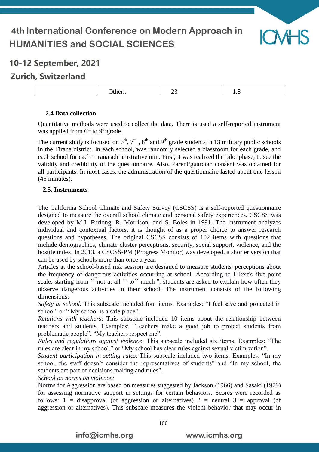

## 10-12 September, 2021

## **Zurich, Switzerland**

|  | __ |  |
|--|----|--|
|--|----|--|

#### **2.4 Data collection**

Quantitative methods were used to collect the data. There is used a self-reported instrument was applied from 6<sup>th</sup> to 9<sup>th</sup> grade

The current study is focused on  $6<sup>th</sup>$ ,  $7<sup>th</sup>$ ,  $8<sup>th</sup>$  and  $9<sup>th</sup>$  grade students in 13 military public schools in the Tirana district. In each school, was randomly selected a classroom for each grade, and each school for each Tirana administrative unit. First, it was realized the pilot phase, to see the validity and credibility of the questionnaire. Also, Parent/guardian consent was obtained for all participants. In most cases, the administration of the questionnaire lasted about one lesson (45 minutes).

#### **2.5. Instruments**

The California School Climate and Safety Survey (CSCSS) is a self-reported questionnaire designed to measure the overall school climate and personal safety experiences. CSCSS was developed by M.J. Furlong, R. Morrison, and S. Boles in 1991. The instrument analyzes individual and contextual factors, it is thought of as a proper choice to answer research questions and hypotheses. The original CSCSS consists of 102 items with questions that include demographics, climate cluster perceptions, security, social support, violence, and the hostile index. In 2013, a CSCSS-PM (Progress Monitor) was developed, a shorter version that can be used by schools more than once a year.

Articles at the school-based risk session are designed to measure students' perceptions about the frequency of dangerous activities occurring at school. According to Likert's five-point scale, starting from `` not at all `` to `` much ", students are asked to explain how often they observe dangerous activities in their school. The instrument consists of the following dimensions:

*Safety at school:* This subscale included four items. Examples: "I feel save and protected in school" or " My school is a safe place".

*Relations with teachers*: This subscale included 10 items about the relationship between teachers and students. Examples: "Teachers make a good job to protect students from problematic people", "My teachers respect me".

*Rules and regulations against violence*: This subscale included six items. Examples: "The rules are clear in my school." or "My school has clear rules against sexual victimization".

*Student participation in setting rules:* This subscale included two items. Examples: "In my school, the staff doesn't consider the representatives of students" and "In my school, the students are part of decisions making and rules".

*School on norms on violence:*

Norms for Aggression are based on measures suggested by Jackson (1966) and Sasaki (1979) for assessing normative support in settings for certain behaviors. Scores were recorded as follows: 1 = disapproval (of aggression or alternatives)  $2$  = neutral 3 = approval (of aggression or alternatives). This subscale measures the violent behavior that may occur in

info@icmhs.org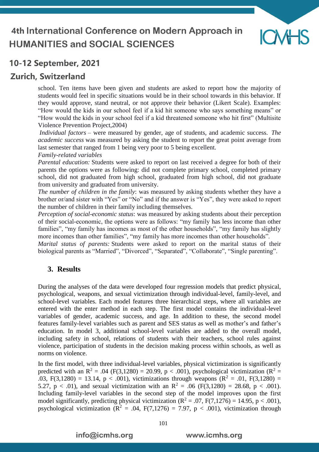

## **Zurich, Switzerland**

school. Ten items have been given and students are asked to report how the majority of students would feel in specific situations would be in their school towards in this behavior. If they would approve, stand neutral, or not approve their behavior (Likert Scale). Examples: "How would the kids in our school feel if a kid hit someone who says something means" or "How would the kids in your school feel if a kid threatened someone who hit first" (Multisite Violence Prevention Project,2004)

*Individual factors* – were measured by gender, age of students, and academic success. *The academic success* was measured by asking the student to report the great point average from last semester that ranged from 1 being very poor to 5 being excellent.

*Family-related variables* 

*Parental education:* Students were asked to report on last received a degree for both of their parents the options were as following: did not complete primary school, completed primary school, did not graduated from high school, graduated from high school, did not graduate from university and graduated from university.

*The number of children in the family*: was measured by asking students whether they have a brother or/and sister with "Yes" or "No" and if the answer is "Yes", they were asked to report the number of children in their family including themselves.

*Perception of social-economic status*: was measured by asking students about their perception of their social-economic, the options were as follows: "my family has less income than other families", "my family has incomes as most of the other households", "my family has slightly more incomes than other families", "my family has more incomes than other households". *Marital status of parents:* Students were asked to report on the marital status of their

biological parents as "Married", "Divorced", "Separated", "Collaborate", "Single parenting".

#### **3. Results**

During the analyses of the data were developed four regression models that predict physical, psychological, weapons, and sexual victimization through individual-level, family-level, and school-level variables. Each model features three hierarchical steps, where all variables are entered with the enter method in each step. The first model contains the individual-level variables of gender, academic success, and age. In addition to these, the second model features family-level variables such as parent and SES status as well as mother's and father's education. In model 3, additional school-level variables are added to the overall model, including safety in school, relations of students with their teachers, school rules against violence, participation of students in the decision making process within schools, as well as norms on violence.

In the first model, with three individual-level variables, physical victimization is significantly predicted with an R<sup>2</sup> = .04 (F(3,1280) = 20.99, p < .001), psychological victimization (R<sup>2</sup> = .03, F(3,1280) = 13.14, p < .001), victimizations through weapons ( $\mathbb{R}^2$  = .01, F(3,1280) = 5.27,  $p < .01$ ), and sexual victimization with an  $R^2 = .06$  (F(3,1280) = 28.68,  $p < .001$ ). Including family-level variables in the second step of the model improves upon the first model significantly, predicting physical victimization ( $\mathbb{R}^2 = .07$ ,  $F(7,1276) = 14.95$ ,  $p < .001$ ), psychological victimization ( $\mathbb{R}^2 = .04$ ,  $F(7,1276) = 7.97$ ,  $p < .001$ ), victimization through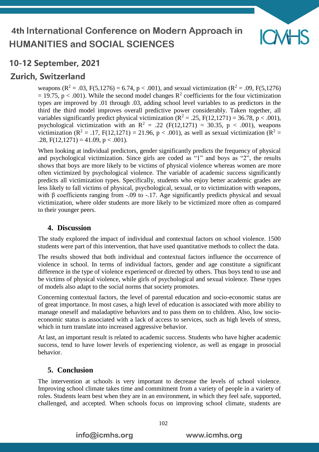

## **Zurich, Switzerland**

weapons ( $\mathbb{R}^2 = .03$ ,  $F(5,1276) = 6.74$ ,  $p < .001$ ), and sexual victimization ( $\mathbb{R}^2 = .09$ ,  $F(5,1276)$ )  $= 19.75$ , p < .001). While the second model changes R<sup>2</sup> coefficients for the four victimization types are improved by .01 through .03, adding school level variables to as predictors in the third the third model improves overall predictive power considerably. Taken together, all variables significantly predict physical victimization ( $\mathbb{R}^2 = .25$ ,  $F(12,1271) = 36.78$ , p < .001), psychological victimization with an  $R^2 = .22$  (F(12,1271) = 30.35, p < .001), weapons victimization ( $\mathbb{R}^2 = .17$ ,  $F(12,1271) = 21.96$ ,  $p < .001$ ), as well as sexual victimization ( $\mathbb{R}^2 =$ .28,  $F(12,1271) = 41.09$ ,  $p < .001$ ).

When looking at individual predictors, gender significantly predicts the frequency of physical and psychological victimization. Since girls are coded as "1" and boys as "2", the results shows that boys are more likely to be victims of physical violence whereas women are more often victimized by psychological violence. The variable of academic success significantly predicts all victimization types. Specifically, students who enjoy better academic grades are less likely to fall victims of physical, psychological, sexual, or to victimization with weapons, with β coefficients ranging from  $-.09$  to  $-.17$ . Age significantly predicts physical and sexual victimization, where older students are more likely to be victimized more often as compared to their younger peers.

#### **4. Discussion**

The study explored the impact of individual and contextual factors on school violence. 1500 students were part of this intervention, that have used quantitative methods to collect the data.

The results showed that both individual and contextual factors influence the occurrence of violence in school. In terms of individual factors, gender and age constitute a significant difference in the type of violence experienced or directed by others. Thus boys tend to use and be victims of physical violence, while girls of psychological and sexual violence. These types of models also adapt to the social norms that society promotes.

Concerning contextual factors, the level of parental education and socio-economic status are of great importance. In most cases, a high level of education is associated with more ability to manage oneself and maladaptive behaviors and to pass them on to children. Also, low socioeconomic status is associated with a lack of access to services, such as high levels of stress, which in turn translate into increased aggressive behavior.

At last, an important result is related to academic success. Students who have higher academic success, tend to have lower levels of experiencing violence, as well as engage in prosocial behavior.

#### **5. Conclusion**

The intervention at schools is very important to decrease the levels of school violence. Improving school climate takes time and commitment from a variety of people in a variety of roles. Students learn best when they are in an environment, in which they feel safe, supported, challenged, and accepted. When schools focus on improving school climate, students are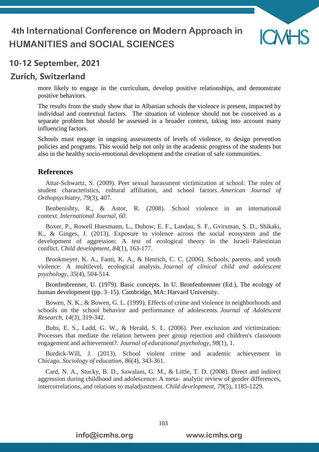

### 10-12 September, 2021

### **Zurich, Switzerland**

more likely to engage in the curriculum, develop positive relationships, and demonstrate positive behaviors.

The results from the study show that in Albanian schools the violence is present, impacted by individual and contextual factors. The situation of violence should not be conceived as a separate problem but should be assessed in a broader context, taking into account many influencing factors.

Schools must engage in ongoing assessments of levels of violence, to design prevention policies and programs. This would help not only in the academic progress of the students but also in the healthy socio-emotional development and the creation of safe communities.

#### **References**

Attar-Schwartz, S. (2009). Peer sexual harassment victimization at school: The roles of student characteristics, cultural affiliation, and school factors. *American Journal of Orthopsychiatry*, *79*(3), 407.

Benbenishty, R., & Astor, R. (2008). School violence in an international context. *International Journal*, *60*.

Boxer, P., Rowell Huesmann, L., Dubow, E. F., Landau, S. F., Gvirsman, S. D., Shikaki, K., & Ginges, J. (2013). Exposure to violence across the social ecosystem and the development of aggression: A test of ecological theory in the Israeli–Palestinian conflict. *Child development*, *84*(1), 163-177.

Brookmeyer, K. A., Fanti, K. A., & Henrich, C. C. (2006). Schools, parents, and youth violence: A multilevel, ecological analysis. *Journal of clinical child and adolescent psychology*, *35*(4), 504-514.

Bronfenbrenner, U. (1979). Basic concepts. In U. Bronfenbrenner (Ed.), The ecology of human development (pp. 3–15). Cambridge, MA: Harvard University.

Bowen, N. K., & Bowen, G. L. (1999). Effects of crime and violence in neighborhoods and schools on the school behavior and performance of adolescents. *Journal of Adolescent Research*, *14*(3), 319-342.

Buhs, E. S., Ladd, G. W., & Herald, S. L. (2006). Peer exclusion and victimization: Processes that mediate the relation between peer group rejection and children's classroom engagement and achievement?. *Journal of educational psychology*, *98*(1), 1.

Burdick-Will, J. (2013). School violent crime and academic achievement in Chicago. *Sociology of education*, *86*(4), 343-361.

Card, N. A., Stucky, B. D., Sawalani, G. M., & Little, T. D. (2008). Direct and indirect aggression during childhood and adolescence: A meta‐ analytic review of gender differences, intercorrelations, and relations to maladjustment. *Child development*, *79*(5), 1185-1229.

103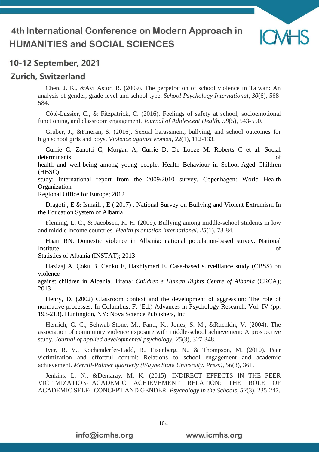

## 10-12 September, 2021

### **Zurich, Switzerland**

Chen, J. K., &Avi Astor, R. (2009). The perpetration of school violence in Taiwan: An analysis of gender, grade level and school type. *School Psychology International*, *30*(6), 568- 584.

Côté-Lussier, C., & Fitzpatrick, C. (2016). Feelings of safety at school, socioemotional functioning, and classroom engagement. *Journal of Adolescent Health*, *58*(5), 543-550.

Gruber, J., &Fineran, S. (2016). Sexual harassment, bullying, and school outcomes for high school girls and boys. *Violence against women*, *22*(1), 112-133.

Currie C, Zanotti C, Morgan A, Currie D, De Looze M, Roberts C et al. Social determinants of

health and well-being among young people. Health Behaviour in School-Aged Children (HBSC)

study: international report from the 2009/2010 survey. Copenhagen: World Health **Organization** 

Regional Office for Europe; 2012

Dragoti , E & Ismaili , E ( 2017) . National Survey on Bullying and Violent Extremism In the Education System of Albania

Fleming, L. C., & Jacobsen, K. H. (2009). Bullying among middle-school students in low and middle income countries. *Health promotion international*, *25*(1), 73-84.

Haarr RN. Domestic violence in Albania: national population-based survey. National Institute of

Statistics of Albania (INSTAT); 2013

Hazizaj A, Çoku B, Cenko E, Haxhiymeri E. Case-based surveillance study (CBSS) on violence

against children in Albania. Tirana: *Children s Human Rights Centre of Albania* (CRCA); 2013

Henry, D. (2002) Classroom context and the development of aggression: The role of normative processes. In Columbus, F. (Ed.) Advances in Psychology Research, Vol. IV (pp. 193-213). Huntington, NY: Nova Science Publishers, Inc

Henrich, C. C., Schwab-Stone, M., Fanti, K., Jones, S. M., &Ruchkin, V. (2004). The association of community violence exposure with middle-school achievement: A prospective study. *Journal of applied developmental psychology*, *25*(3), 327-348.

Iyer, R. V., Kochenderfer-Ladd, B., Eisenberg, N., & Thompson, M. (2010). Peer victimization and effortful control: Relations to school engagement and academic achievement. *Merrill-Palmer quarterly (Wayne State University. Press)*, *56*(3), 361.

Jenkins, L. N., &Demaray, M. K. (2015). INDIRECT EFFECTS IN THE PEER VICTIMIZATION‐ ACADEMIC ACHIEVEMENT RELATION: THE ROLE OF ACADEMIC SELF‐ CONCEPT AND GENDER. *Psychology in the Schools*, *52*(3), 235-247.